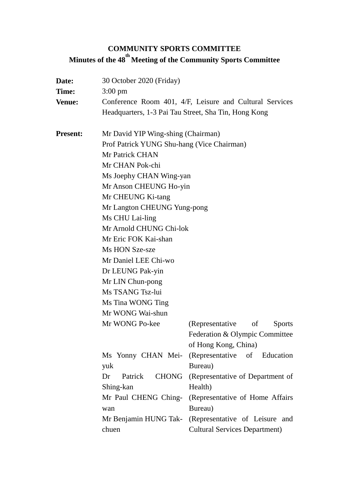# **COMMUNITY SPORTS COMMITTEE Minutes of the 48 th Meeting of the Community Sports Committee**

| Date:           | 30 October 2020 (Friday)                             |                                                         |  |  |  |  |  |
|-----------------|------------------------------------------------------|---------------------------------------------------------|--|--|--|--|--|
| Time:           | $3:00 \text{ pm}$                                    |                                                         |  |  |  |  |  |
| <b>Venue:</b>   |                                                      | Conference Room 401, 4/F, Leisure and Cultural Services |  |  |  |  |  |
|                 | Headquarters, 1-3 Pai Tau Street, Sha Tin, Hong Kong |                                                         |  |  |  |  |  |
| <b>Present:</b> | Mr David YIP Wing-shing (Chairman)                   |                                                         |  |  |  |  |  |
|                 | Prof Patrick YUNG Shu-hang (Vice Chairman)           |                                                         |  |  |  |  |  |
|                 | Mr Patrick CHAN                                      |                                                         |  |  |  |  |  |
|                 | Mr CHAN Pok-chi                                      |                                                         |  |  |  |  |  |
|                 | Ms Joephy CHAN Wing-yan                              |                                                         |  |  |  |  |  |
|                 | Mr Anson CHEUNG Ho-yin                               |                                                         |  |  |  |  |  |
|                 | Mr CHEUNG Ki-tang                                    |                                                         |  |  |  |  |  |
|                 | Mr Langton CHEUNG Yung-pong                          |                                                         |  |  |  |  |  |
|                 | Ms CHU Lai-ling                                      |                                                         |  |  |  |  |  |
|                 | Mr Arnold CHUNG Chi-lok                              |                                                         |  |  |  |  |  |
|                 | Mr Eric FOK Kai-shan                                 |                                                         |  |  |  |  |  |
|                 | Ms HON Sze-sze                                       |                                                         |  |  |  |  |  |
|                 | Mr Daniel LEE Chi-wo                                 |                                                         |  |  |  |  |  |
|                 | Dr LEUNG Pak-yin                                     |                                                         |  |  |  |  |  |
|                 | Mr LIN Chun-pong                                     |                                                         |  |  |  |  |  |
|                 | Ms TSANG Tsz-lui                                     |                                                         |  |  |  |  |  |
|                 | Ms Tina WONG Ting                                    |                                                         |  |  |  |  |  |
|                 | Mr WONG Wai-shun                                     |                                                         |  |  |  |  |  |
|                 | Mr WONG Po-kee                                       | (Representative of<br><b>Sports</b>                     |  |  |  |  |  |
|                 |                                                      | Federation & Olympic Committee                          |  |  |  |  |  |
|                 |                                                      | of Hong Kong, China)                                    |  |  |  |  |  |
|                 |                                                      | Ms Yonny CHAN Mei- (Representative of Education         |  |  |  |  |  |
|                 | yuk                                                  | Bureau)                                                 |  |  |  |  |  |
|                 | Dr<br>Patrick                                        | CHONG (Representative of Department of                  |  |  |  |  |  |
|                 | Shing-kan                                            | Health)                                                 |  |  |  |  |  |
|                 | Mr Paul CHENG Ching-                                 | (Representative of Home Affairs)                        |  |  |  |  |  |
|                 | wan                                                  | Bureau)                                                 |  |  |  |  |  |
|                 |                                                      | Mr Benjamin HUNG Tak- (Representative of Leisure and    |  |  |  |  |  |
|                 | chuen                                                | <b>Cultural Services Department)</b>                    |  |  |  |  |  |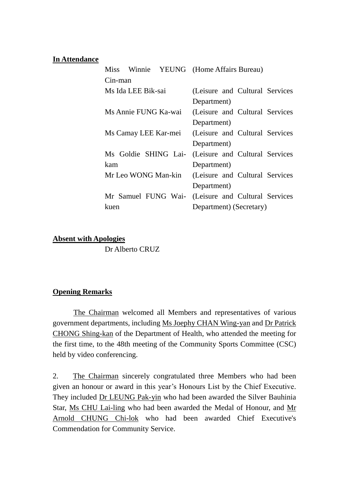#### **In Attendance**

| Miss                 |                         |                      | Winnie YEUNG (Home Affairs Bureau) |  |                                 |  |  |
|----------------------|-------------------------|----------------------|------------------------------------|--|---------------------------------|--|--|
| Cin-man              |                         |                      |                                    |  |                                 |  |  |
| Ms Ida LEE Bik-sai   |                         |                      |                                    |  | (Leisure and Cultural Services) |  |  |
|                      |                         |                      | Department)                        |  |                                 |  |  |
| Ms Annie FUNG Ka-wai |                         |                      |                                    |  | (Leisure and Cultural Services  |  |  |
|                      |                         |                      | Department)                        |  |                                 |  |  |
| Ms Camay LEE Kar-mei |                         |                      |                                    |  | (Leisure and Cultural Services  |  |  |
|                      |                         |                      | Department)                        |  |                                 |  |  |
|                      |                         | Ms Goldie SHING Lai- |                                    |  | (Leisure and Cultural Services  |  |  |
| kam                  |                         | Department)          |                                    |  |                                 |  |  |
|                      | Mr Leo WONG Man-kin     |                      |                                    |  | (Leisure and Cultural Services  |  |  |
|                      |                         |                      | Department)                        |  |                                 |  |  |
|                      |                         | Mr Samuel FUNG Wai-  |                                    |  | (Leisure and Cultural Services) |  |  |
| kuen                 | Department) (Secretary) |                      |                                    |  |                                 |  |  |

#### **Absent with Apologies**

Dr Alberto CRUZ

## **Opening Remarks**

The Chairman welcomed all Members and representatives of various government departments, including Ms Joephy CHAN Wing-yan and Dr Patrick CHONG Shing-kan of the Department of Health, who attended the meeting for the first time, to the 48th meeting of the Community Sports Committee (CSC) held by video conferencing.

2. The Chairman sincerely congratulated three Members who had been given an honour or award in this year's Honours List by the Chief Executive. They included Dr LEUNG Pak-yin who had been awarded the Silver Bauhinia Star, Ms CHU Lai-ling who had been awarded the Medal of Honour, and Mr Arnold CHUNG Chi-lok who had been awarded Chief Executive's Commendation for Community Service.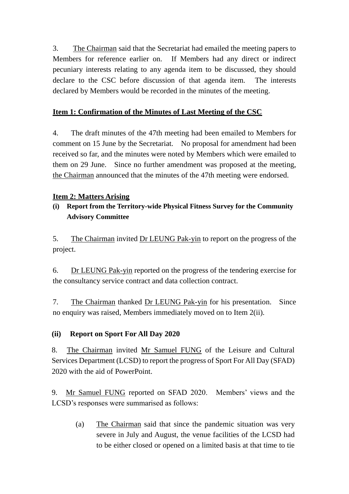3. The Chairman said that the Secretariat had emailed the meeting papers to Members for reference earlier on. If Members had any direct or indirect pecuniary interests relating to any agenda item to be discussed, they should declare to the CSC before discussion of that agenda item. The interests declared by Members would be recorded in the minutes of the meeting.

# **Item 1: Confirmation of the Minutes of Last Meeting of the CSC**

4. The draft minutes of the 47th meeting had been emailed to Members for comment on 15 June by the Secretariat. No proposal for amendment had been received so far, and the minutes were noted by Members which were emailed to them on 29 June. Since no further amendment was proposed at the meeting, the Chairman announced that the minutes of the 47th meeting were endorsed.

## **Item 2: Matters Arising**

# **(i) Report from the Territory-wide Physical Fitness Survey for the Community Advisory Committee**

5. The Chairman invited Dr LEUNG Pak-yin to report on the progress of the project.

6. Dr LEUNG Pak-yin reported on the progress of the tendering exercise for the consultancy service contract and data collection contract.

7. The Chairman thanked Dr LEUNG Pak-yin for his presentation. Since no enquiry was raised, Members immediately moved on to Item 2(ii).

# **(ii) Report on Sport For All Day 2020**

8. The Chairman invited Mr Samuel FUNG of the Leisure and Cultural Services Department (LCSD) to report the progress of Sport For All Day (SFAD) 2020 with the aid of PowerPoint.

9. Mr Samuel FUNG reported on SFAD 2020. Members' views and the LCSD's responses were summarised as follows:

(a) The Chairman said that since the pandemic situation was very severe in July and August, the venue facilities of the LCSD had to be either closed or opened on a limited basis at that time to tie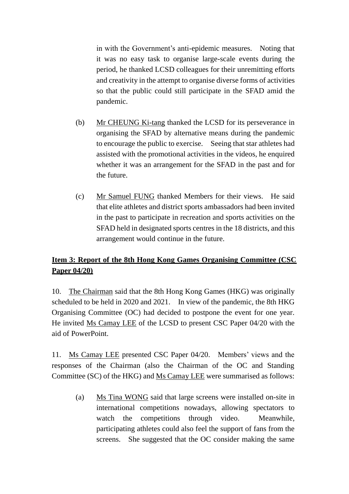in with the Government's anti-epidemic measures. Noting that it was no easy task to organise large-scale events during the period, he thanked LCSD colleagues for their unremitting efforts and creativity in the attempt to organise diverse forms of activities so that the public could still participate in the SFAD amid the pandemic.

- (b) Mr CHEUNG Ki-tang thanked the LCSD for its perseverance in organising the SFAD by alternative means during the pandemic to encourage the public to exercise. Seeing that star athletes had assisted with the promotional activities in the videos, he enquired whether it was an arrangement for the SFAD in the past and for the future.
- (c) Mr Samuel FUNG thanked Members for their views. He said that elite athletes and district sports ambassadors had been invited in the past to participate in recreation and sports activities on the SFAD held in designated sports centres in the 18 districts, and this arrangement would continue in the future.

# **Item 3: Report of the 8th Hong Kong Games Organising Committee (CSC Paper 04/20)**

10. The Chairman said that the 8th Hong Kong Games (HKG) was originally scheduled to be held in 2020 and 2021. In view of the pandemic, the 8th HKG Organising Committee (OC) had decided to postpone the event for one year. He invited Ms Camay LEE of the LCSD to present CSC Paper 04/20 with the aid of PowerPoint.

11. Ms Camay LEE presented CSC Paper 04/20. Members' views and the responses of the Chairman (also the Chairman of the OC and Standing Committee (SC) of the HKG) and Ms Camay LEE were summarised as follows:

(a) Ms Tina WONG said that large screens were installed on-site in international competitions nowadays, allowing spectators to watch the competitions through video. Meanwhile, participating athletes could also feel the support of fans from the screens. She suggested that the OC consider making the same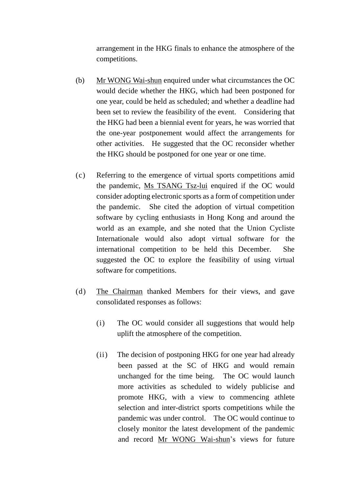arrangement in the HKG finals to enhance the atmosphere of the competitions.

- (b) Mr WONG Wai-shun enquired under what circumstances the OC would decide whether the HKG, which had been postponed for one year, could be held as scheduled; and whether a deadline had been set to review the feasibility of the event. Considering that the HKG had been a biennial event for years, he was worried that the one-year postponement would affect the arrangements for other activities. He suggested that the OC reconsider whether the HKG should be postponed for one year or one time.
- (c) Referring to the emergence of virtual sports competitions amid the pandemic, Ms TSANG Tsz-lui enquired if the OC would consider adopting electronic sports as a form of competition under the pandemic. She cited the adoption of virtual competition software by cycling enthusiasts in Hong Kong and around the world as an example, and she noted that the Union Cycliste Internationale would also adopt virtual software for the international competition to be held this December. She suggested the OC to explore the feasibility of using virtual software for competitions.
- (d) The Chairman thanked Members for their views, and gave consolidated responses as follows:
	- (i) The OC would consider all suggestions that would help uplift the atmosphere of the competition.
	- (ii) The decision of postponing HKG for one year had already been passed at the SC of HKG and would remain unchanged for the time being. The OC would launch more activities as scheduled to widely publicise and promote HKG, with a view to commencing athlete selection and inter-district sports competitions while the pandemic was under control. The OC would continue to closely monitor the latest development of the pandemic and record Mr WONG Wai-shun's views for future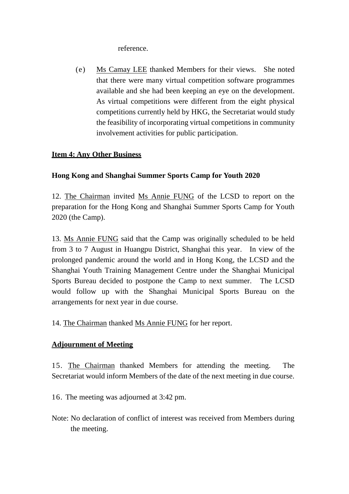reference.

(e) Ms Camay LEE thanked Members for their views. She noted that there were many virtual competition software programmes available and she had been keeping an eye on the development. As virtual competitions were different from the eight physical competitions currently held by HKG, the Secretariat would study the feasibility of incorporating virtual competitions in community involvement activities for public participation.

## **Item 4: Any Other Business**

## **Hong Kong and Shanghai Summer Sports Camp for Youth 2020**

12. The Chairman invited Ms Annie FUNG of the LCSD to report on the preparation for the Hong Kong and Shanghai Summer Sports Camp for Youth 2020 (the Camp).

13. Ms Annie FUNG said that the Camp was originally scheduled to be held from 3 to 7 August in Huangpu District, Shanghai this year. In view of the prolonged pandemic around the world and in Hong Kong, the LCSD and the Shanghai Youth Training Management Centre under the Shanghai Municipal Sports Bureau decided to postpone the Camp to next summer. The LCSD would follow up with the Shanghai Municipal Sports Bureau on the arrangements for next year in due course.

14. The Chairman thanked Ms Annie FUNG for her report.

#### **Adjournment of Meeting**

15. The Chairman thanked Members for attending the meeting. The Secretariat would inform Members of the date of the next meeting in due course.

16. The meeting was adjourned at 3:42 pm.

Note: No declaration of conflict of interest was received from Members during the meeting.